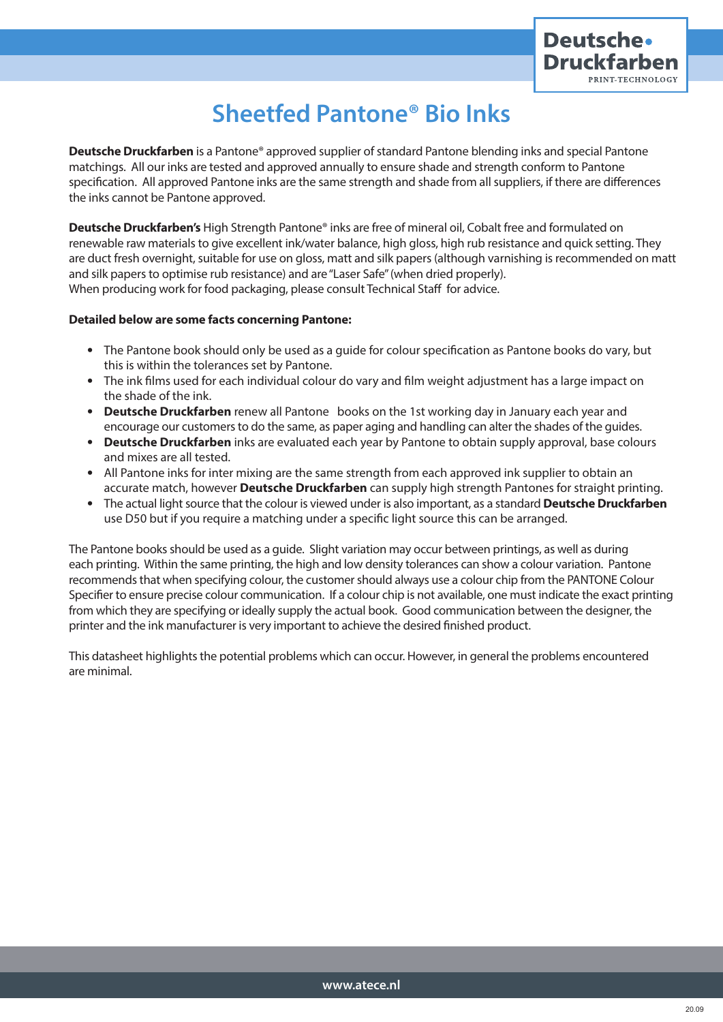

## **Sheetfed Pantone® Bio Inks**

**Deutsche Druckfarben** is a Pantone® approved supplier of standard Pantone blending inks and special Pantone matchings. All our inks are tested and approved annually to ensure shade and strength conform to Pantone specification. All approved Pantone inks are the same strength and shade from all suppliers, if there are differences the inks cannot be Pantone approved.

**Deutsche Druckfarben's** High Strength Pantone® inks are free of mineral oil, Cobalt free and formulated on renewable raw materials to give excellent ink/water balance, high gloss, high rub resistance and quick setting. They are duct fresh overnight, suitable for use on gloss, matt and silk papers (although varnishing is recommended on matt and silk papers to optimise rub resistance) and are "Laser Safe" (when dried properly). When producing work for food packaging, please consult Technical Staff for advice.

## **Detailed below are some facts concerning Pantone:**

- The Pantone book should only be used as a guide for colour specification as Pantone books do vary, but this is within the tolerances set by Pantone.
- The ink films used for each individual colour do vary and film weight adjustment has a large impact on the shade of the ink.
- **Deutsche Druckfarben** renew all Pantone books on the 1st working day in January each year and encourage our customers to do the same, as paper aging and handling can alter the shades of the guides.
- **Deutsche Druckfarben** inks are evaluated each year by Pantone to obtain supply approval, base colours and mixes are all tested.
- All Pantone inks for inter mixing are the same strength from each approved ink supplier to obtain an accurate match, however **Deutsche Druckfarben** can supply high strength Pantones for straight printing.
- The actual light source that the colour is viewed under is also important, as a standard **Deutsche Druckfarben** use D50 but if you require a matching under a specific light source this can be arranged.

The Pantone books should be used as a guide. Slight variation may occur between printings, as well as during each printing. Within the same printing, the high and low density tolerances can show a colour variation. Pantone recommends that when specifying colour, the customer should always use a colour chip from the PANTONE Colour Specifier to ensure precise colour communication. If a colour chip is not available, one must indicate the exact printing from which they are specifying or ideally supply the actual book. Good communication between the designer, the printer and the ink manufacturer is very important to achieve the desired finished product.

This datasheet highlights the potential problems which can occur. However, in general the problems encountered are minimal.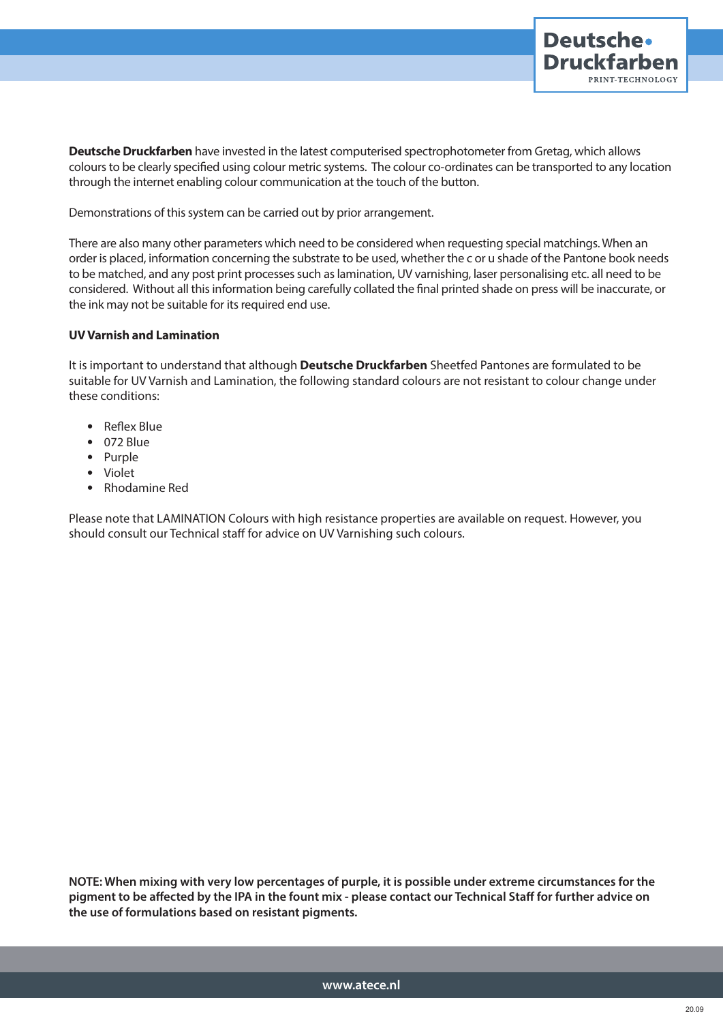

**Deutsche Druckfarben** have invested in the latest computerised spectrophotometer from Gretag, which allows colours to be clearly specified using colour metric systems. The colour co-ordinates can be transported to any location through the internet enabling colour communication at the touch of the button.

Demonstrations of this system can be carried out by prior arrangement.

There are also many other parameters which need to be considered when requesting special matchings. When an order is placed, information concerning the substrate to be used, whether the c or u shade of the Pantone book needs to be matched, and any post print processes such as lamination, UV varnishing, laser personalising etc. all need to be considered. Without all this information being carefully collated the final printed shade on press will be inaccurate, or the ink may not be suitable for its required end use.

## **UV Varnish and Lamination**

It is important to understand that although **Deutsche Druckfarben** Sheetfed Pantones are formulated to be suitable for UV Varnish and Lamination, the following standard colours are not resistant to colour change under these conditions:

- Reflex Blue
- 072 Blue
- Purple
- Violet
- Rhodamine Red

Please note that LAMINATION Colours with high resistance properties are available on request. However, you should consult our Technical staff for advice on UV Varnishing such colours.

**NOTE: When mixing with very low percentages of purple, it is possible under extreme circumstances for the pigment to be affected by the IPA in the fount mix - please contact our Technical Staff for further advice on the use of formulations based on resistant pigments.**